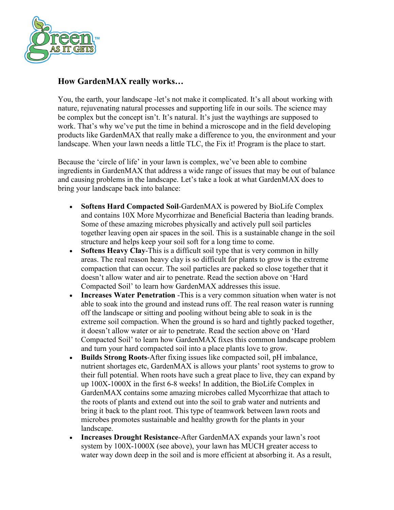

## **How GardenMAX really works…**

You, the earth, your landscape -let's not make it complicated. It's all about working with nature, rejuvenating natural processes and supporting life in our soils. The science may be complex but the concept isn't. It's natural. It's just the waythings are supposed to work. That's why we've put the time in behind a microscope and in the field developing products like GardenMAX that really make a difference to you, the environment and your landscape. When your lawn needs a little TLC, the Fix it! Program is the place to start.

Because the 'circle of life' in your lawn is complex, we've been able to combine ingredients in GardenMAX that address a wide range of issues that may be out of balance and causing problems in the landscape. Let's take a look at what GardenMAX does to bring your landscape back into balance:

- **Softens Hard Compacted Soil**-GardenMAX is powered by BioLife Complex and contains 10X More Mycorrhizae and Beneficial Bacteria than leading brands. Some of these amazing microbes physically and actively pull soil particles together leaving open air spaces in the soil. This is a sustainable change in the soil structure and helps keep your soil soft for a long time to come.
- **Softens Heavy Clay**-This is a difficult soil type that is very common in hilly areas. The real reason heavy clay is so difficult for plants to grow is the extreme compaction that can occur. The soil particles are packed so close together that it doesn't allow water and air to penetrate. Read the section above on 'Hard Compacted Soil' to learn how GardenMAX addresses this issue.
- **Increases Water Penetration** -This is a very common situation when water is not able to soak into the ground and instead runs off. The real reason water is running off the landscape or sitting and pooling without being able to soak in is the extreme soil compaction. When the ground is so hard and tightly packed together, it doesn't allow water or air to penetrate. Read the section above on 'Hard Compacted Soil' to learn how GardenMAX fixes this common landscape problem and turn your hard compacted soil into a place plants love to grow.
- **Builds Strong Roots**-After fixing issues like compacted soil, pH imbalance, nutrient shortages etc, GardenMAX is allows your plants' root systems to grow to their full potential. When roots have such a great place to live, they can expand by up 100X-1000X in the first 6-8 weeks! In addition, the BioLife Complex in GardenMAX contains some amazing microbes called Mycorrhizae that attach to the roots of plants and extend out into the soil to grab water and nutrients and bring it back to the plant root. This type of teamwork between lawn roots and microbes promotes sustainable and healthy growth for the plants in your landscape.
- **Increases Drought Resistance**-After GardenMAX expands your lawn's root system by 100X-1000X (see above), your lawn has MUCH greater access to water way down deep in the soil and is more efficient at absorbing it. As a result,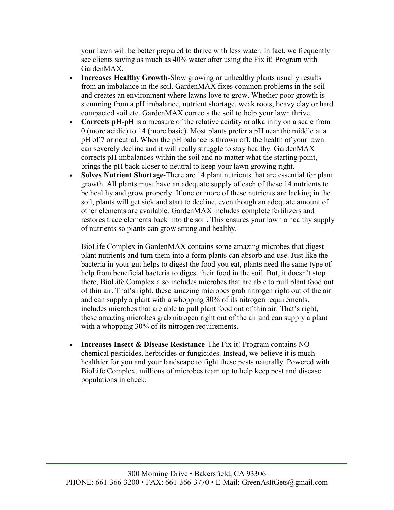your lawn will be better prepared to thrive with less water. In fact, we frequently see clients saving as much as 40% water after using the Fix it! Program with GardenMAX.

- **Increases Healthy Growth**-Slow growing or unhealthy plants usually results from an imbalance in the soil. GardenMAX fixes common problems in the soil and creates an environment where lawns love to grow. Whether poor growth is stemming from a pH imbalance, nutrient shortage, weak roots, heavy clay or hard compacted soil etc, GardenMAX corrects the soil to help your lawn thrive.
- **Corrects pH-pH** is a measure of the relative acidity or alkalinity on a scale from 0 (more acidic) to 14 (more basic). Most plants prefer a pH near the middle at a pH of 7 or neutral. When the pH balance is thrown off, the health of your lawn can severely decline and it will really struggle to stay healthy. GardenMAX corrects pH imbalances within the soil and no matter what the starting point, brings the pH back closer to neutral to keep your lawn growing right.
- **Solves Nutrient Shortage**-There are 14 plant nutrients that are essential for plant growth. All plants must have an adequate supply of each of these 14 nutrients to be healthy and grow properly. If one or more of these nutrients are lacking in the soil, plants will get sick and start to decline, even though an adequate amount of other elements are available. GardenMAX includes complete fertilizers and restores trace elements back into the soil. This ensures your lawn a healthy supply of nutrients so plants can grow strong and healthy.

BioLife Complex in GardenMAX contains some amazing microbes that digest plant nutrients and turn them into a form plants can absorb and use. Just like the bacteria in your gut helps to digest the food you eat, plants need the same type of help from beneficial bacteria to digest their food in the soil. But, it doesn't stop there, BioLife Complex also includes microbes that are able to pull plant food out of thin air. That's right, these amazing microbes grab nitrogen right out of the air and can supply a plant with a whopping 30% of its nitrogen requirements. includes microbes that are able to pull plant food out of thin air. That's right, these amazing microbes grab nitrogen right out of the air and can supply a plant with a whopping 30% of its nitrogen requirements.

• **Increases Insect & Disease Resistance**-The Fix it! Program contains NO chemical pesticides, herbicides or fungicides. Instead, we believe it is much healthier for you and your landscape to fight these pests naturally. Powered with BioLife Complex, millions of microbes team up to help keep pest and disease populations in check.